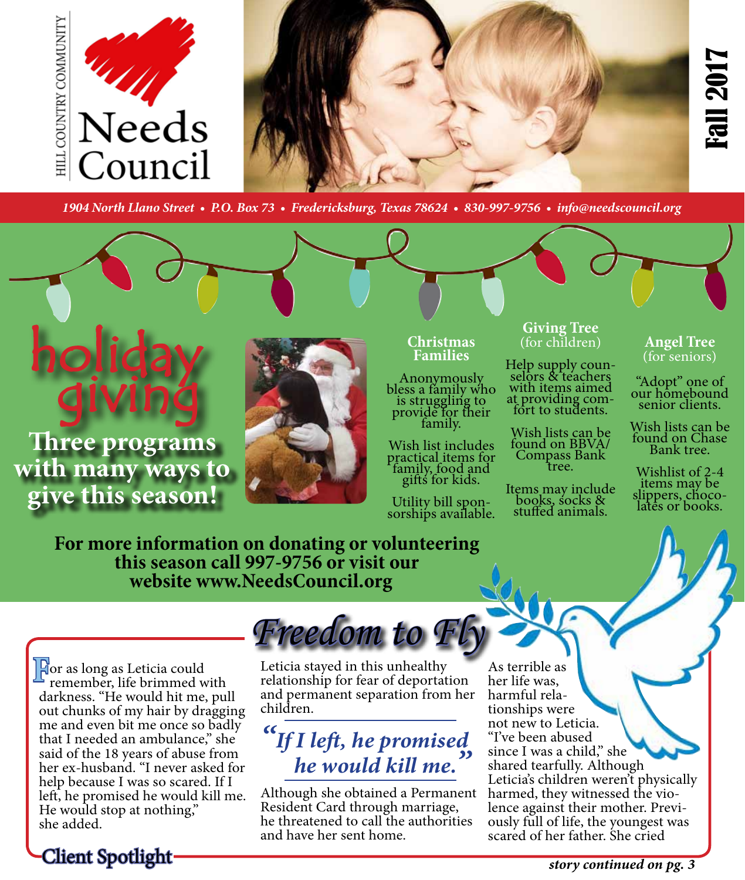



*1904 North Llano Street • P.O. Box 73 • Fredericksburg, Texas 78624 • 830-997-9756 • info@needscouncil.org* 

# holiday giving

**Three programs with many ways to give this season!**



### **Christmas Families**

Anonymously bless a family who is struggling to provide for their<br>family.

Wish list includes practical items for family, food and gifts for kids.

Utility bill spon- sorships available.

### **Giving Tree**  (for children)

Help supply coun-<br>selors & teachers with items aimed at providing com- fort to students.

Wish lists can be found on BBVA/ Compass Bank<br>tree.

Items may include books, socks & stuffed animals.

#### **Angel Tree**  (for seniors)

"Adopt" one of our homebound senior clients.

Wish lists can be found on Chase Bank tree.

Wishlist of 2-4 items may be slippers, choco-<br>lates or books.

**For more information on donating or volunteering this season call 997-9756 or visit our website www.NeedsCouncil.org** 

**F**or as long as Leticia could<br>remember, life brimmed w remember, life brimmed with darkness. "He would hit me, pull out chunks of my hair by dragging me and even bit me once so badly that I needed an ambulance," she said of the 18 years of abuse from her ex-husband. "I never asked for help because I was so scared. If I left, he promised he would kill me. He would stop at nothing," she added.

# *Freedom to Fly*

Leticia stayed in this unhealthy relationship for fear of deportation and permanent separation from her children.

# *"If I left, he promised he would kill me.*

Although she obtained a Permanent Resident Card through marriage, he threatened to call the authorities and have her sent home.

As terrible as her life was, tionships were not new to Leticia. "I've been abused since I was a child," she shared tearfully. Although Leticia's children weren't physically harmed, they witnessed the vio-<br>lence against their mother. Previ-<br>ously full of life, the youngest was scared of her father. She cried

Client Spotlight

*story continued on pg. 3*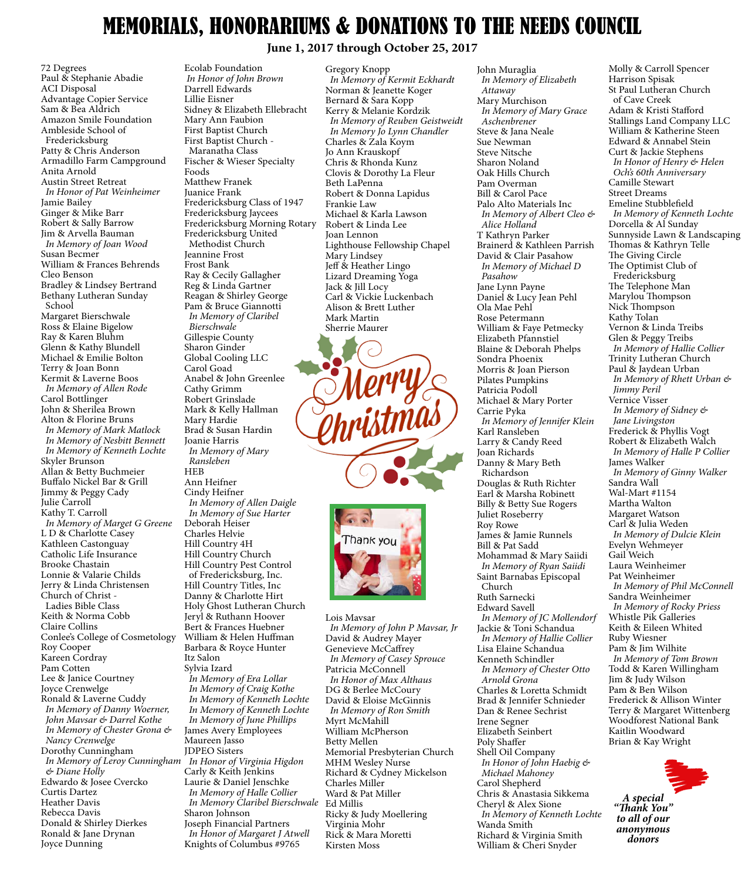### MEMORIALS, HONORARIUMS & DONATIONS TO THE NEEDS COUNCIL

**June 1, 2017 through October 25, 2017**

72 Degrees Paul & Stephanie Abadie ACI Disposal Advantage Copier Service Sam & Bea Aldrich Amazon Smile Foundation Ambleside School of Fredericksburg Patty & Chris Anderson Armadillo Farm Campground Anita Arnold Austin Street Retreat  *In Honor of Pat Weinheimer* Jamie Bailey Ginger & Mike Barr Robert & Sally Barrow Jim & Arvella Bauman  *In Memory of Joan Wood* Susan Becmer William & Frances Behrends Cleo Benson Bradley & Lindsey Bertrand Bethany Lutheran Sunday School Margaret Bierschwale Ross & Elaine Bigelow Ray & Karen Bluhm Glenn & Kathy Blundell Michael & Emilie Bolton Terry & Joan Bonn Kermit & Laverne Boos  *In Memory of Allen Rode* Carol Bottlinger John & Sherilea Brown Alton & Florine Bruns *In Memory of Mark Matlock In Memory of Nesbitt Bennett In Memory of Kenneth Lochte* Skyler Brunson Allan & Betty Buchmeier Buffalo Nickel Bar & Grill Jimmy & Peggy Cady Julie Carroll Kathy T. Carroll  *In Memory of Marget G Greene* L D & Charlotte Casey Kathleen Castonguay Catholic Life Insurance Brooke Chastain Lonnie & Valarie Childs Jerry & Linda Christensen Church of Christ - Ladies Bible Class Keith & Norma Cobb Claire Collins Conlee's College of Cosmetology Roy Cooper Kareen Cordray Pam Cotten Lee & Janice Courtney Joyce Crenwelge Ronald & Laverne Cuddy *In Memory of Danny Woerner, John Mavsar & Darrel Kothe In Memory of Chester Grona & Nancy Crenwelge* Dorothy Cunningham *In Memory of Leroy Cunningham In Honor of Virginia Higdon & Diane Holly* Edwardo & Josee Cvercko Curtis Dartez Heather Davis Rebecca Davis

Donald & Shirley Dierkes Ronald & Jane Drynan

Joyce Dunning

Ecolab Foundation *In Honor of John Brown* Darrell Edwards Lillie Eisner Sidney & Elizabeth Ellebracht Mary Ann Faubion First Baptist Church First Baptist Church - Maranatha Class Fischer & Wieser Specialty Foods Matthew Franek Juanice Frank Fredericksburg Class of 1947 Fredericksburg Jaycees Fredericksburg Morning Rotary Fredericksburg United Methodist Church Jeannine Frost Frost Bank Ray & Cecily Gallagher Reg & Linda Gartner Reagan & Shirley George Pam & Bruce Giannotti  *In Memory of Claribel Bierschwale* Gillespie County Sharon Ginder Global Cooling LLC Carol Goad Anabel & John Greenlee Cathy Grimm Robert Grinslade Mark & Kelly Hallman Mary Hardie Brad & Susan Hardin Joanie Harris  *In Memory of Mary Ransleben* HEB Ann Heifner Cindy Heifner *In Memory of Allen Daigle In Memory of Sue Harter* Deborah Heiser Charles Helvie Hill Country 4H Hill Country Church Hill Country Pest Control of Fredericksburg, Inc. Hill Country Titles, Inc Danny & Charlotte Hirt Holy Ghost Lutheran Church Jeryl & Ruthann Hoover Bert & Frances Huebner William & Helen Huffman Barbara & Royce Hunter Itz Salon Sylvia Izard *In Memory of Era Lollar In Memory of Craig Kothe In Memory of Kenneth Lochte In Memory of Kenneth Lochte In Memory of June Phillips* James Avery Employees Maureen Jasso JDPEO Sisters Carly & Keith Jenkins Laurie & Daniel Jenschke  *In Memory of Halle Collier In Memory Claribel Bierschwale* Sharon Johnson Joseph Financial Partners

 *In Honor of Margaret J Atwell* Knights of Columbus #9765

Gregory Knopp  *In Memory of Kermit Eckhardt* Norman & Jeanette Koger Bernard & Sara Kopp Kerry & Melanie Kordzik  *In Memory of Reuben Geistweidt In Memory Jo Lynn Chandler* Charles & Zala Koym Jo Ann Krauskopf Chris & Rhonda Kunz Clovis & Dorothy La Fleur Beth LaPenna Robert & Donna Lapidus Frankie Law Michael & Karla Lawson Robert & Linda Lee Joan Lennon Lighthouse Fellowship Chapel Mary Lindsey Jeff & Heather Lingo Lizard Dreaming Yoga Jack & Jill Locy Carl & Vickie Luckenbach Alison & Brett Luther Mark Martin





Lois Mavsar  *In Memory of John P Mavsar, Jr* David & Audrey Mayer Genevieve McCaffrey  *In Memory of Casey Sprouce* Patricia McConnell  *In Honor of Max Althaus* DG & Berlee McCoury David & Eloise McGinnis  *In Memory of Ron Smith* Myrt McMahill William McPherson Betty Mellen Memorial Presbyterian Church MHM Wesley Nurse Richard & Cydney Mickelson Charles Miller Ward & Pat Miller Ed Millis Ricky & Judy Moellering Virginia Mohr Rick & Mara Moretti Kirsten Moss

John Muraglia  *In Memory of Elizabeth Attaway* Mary Murchison  *In Memory of Mary Grace Aschenbrener* Steve & Jana Neale Sue Newman Steve Nitsche Sharon Noland Oak Hills Church Pam Overman Bill & Carol Pace Palo Alto Materials Inc  *In Memory of Albert Cleo & Alice Holland* T Kathryn Parker Brainerd & Kathleen Parrish David & Clair Pasahow  *In Memory of Michael D Pasahow* Jane Lynn Payne Daniel & Lucy Jean Pehl Ola Mae Pehl Rose Petermann William & Faye Petmecky Elizabeth Pfannstiel Blaine & Deborah Phelps Sondra Phoenix Morris & Joan Pierson Pilates Pumpkins Patricia Podoll Michael & Mary Porter Carrie Pyka  *In Memory of Jennifer Klein* Karl Ransleben Larry & Candy Reed Joan Richards Danny & Mary Beth Richardson Douglas & Ruth Richter Earl & Marsha Robinett Billy & Betty Sue Rogers Juliet Roseberry Roy Rowe James & Jamie Runnels Bill & Pat Sadd Mohammad & Mary Saiidi  *In Memory of Ryan Saiidi* Saint Barnabas Episcopal Church Ruth Sarnecki Edward Savell  *In Memory of JC Mollendorf* Jackie & Toni Schandua  *In Memory of Hallie Collier* Lisa Elaine Schandua Kenneth Schindler  *In Memory of Chester Otto Arnold Grona* Charles & Loretta Schmidt Brad & Jennifer Schnieder Dan & Renee Sechrist Irene Segner Elizabeth Seinbert Poly Shaffer Shell Oil Company  *In Honor of John Haebig & Michael Mahoney* Carol Shepherd Chris & Anastasia Sikkema Cheryl & Alex Sione  *In Memory of Kenneth Lochte* Wanda Smith

Richard & Virginia Smith William & Cheri Snyder

Molly & Carroll Spencer Harrison Spisak St Paul Lutheran Church of Cave Creek Adam & Kristi Stafford Stallings Land Company LLC William & Katherine Steen Edward & Annabel Stein Curt & Jackie Stephens  *In Honor of Henry & Helen Och's 60th Anniversary* Camille Stewart Street Dreams Emeline Stubblefield *In Memory of Kenneth Lochte* Dorcella & Al Sunday Sunnyside Lawn & Landscaping Thomas & Kathryn Telle The Giving Circle The Optimist Club of Fredericksburg The Telephone Man Marylou Thompson Nick Thompson Kathy Tolan Vernon & Linda Treibs Glen & Peggy Treibs  *In Memory of Hallie Collier* Trinity Lutheran Church Paul & Jaydean Urban  *In Memory of Rhett Urban & Jimmy Peril* Vernice Visser  *In Memory of Sidney & Jane Livingston* Frederick & Phyllis Vogt Robert & Elizabeth Walch  *In Memory of Halle P Collier* James Walker  *In Memory of Ginny Walker* Sandra Wall Wal-Mart #1154 Martha Walton Margaret Watson Carl & Julia Weden  *In Memory of Dulcie Klein* Evelyn Wehmeyer Gail Weich Laura Weinheimer Pat Weinheimer  *In Memory of Phil McConnell* Sandra Weinheimer  *In Memory of Rocky Priess* Whistle Pik Galleries Keith & Eileen Whited Ruby Wiesner Pam & Jim Wilhite  *In Memory of Tom Brown* Todd & Karen Willingham Jim & Judy Wilson Pam & Ben Wilson Frederick & Allison Winter Terry & Margaret Wittenberg Woodforest National Bank Kaitlin Woodward Brian & Kay Wright

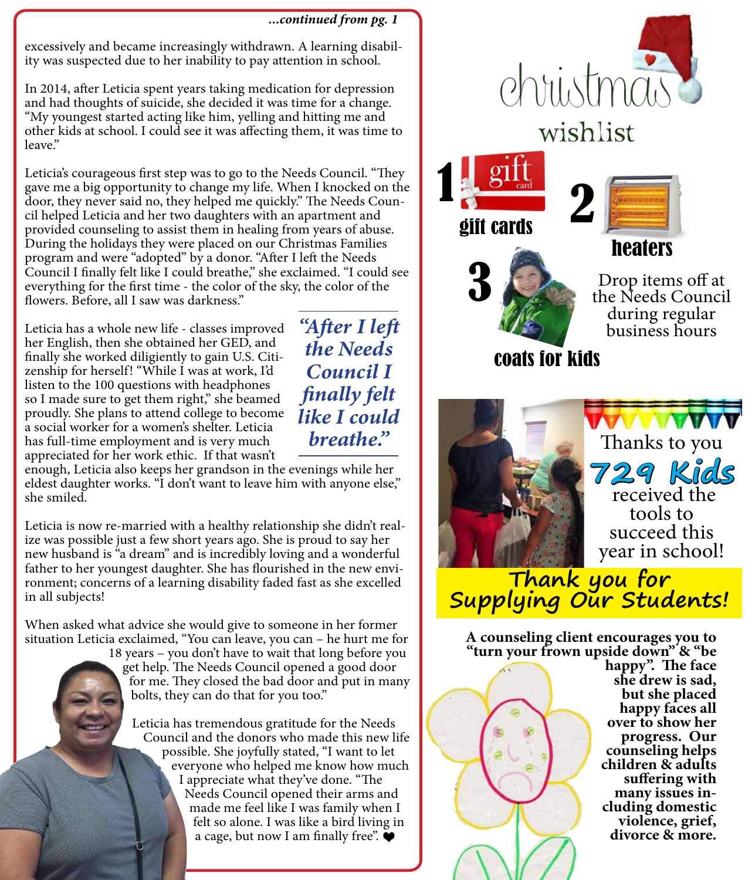*...continued from pg. 1*

excessively and became increasingly withdrawn. A learning disability was suspected due to her inability to pay attention in school.

In 2014, after Leticia spent years taking medication for depression and had thoughts of suicide, she decided it was time for a change. "My youngest started acting like him, yelling and hitting me and other kids at school. I could see it was affecting them, it was time to leave."

Leticia's courageous first step was to go to the Needs Council. "They gave me a big opportunity to change my life. When I knocked on the door, they never said no, they helped me quickly." The Needs Council helped Leticia and her two daughters with an apartment and provided counseling to assist them in healing from years of abuse. During the holidays they were placed on our Christmas Families program and were "adopted" by a donor. "After I left the Needs Council I finally felt like I could breathe," she exclaimed. "I could see everything for the first time - the color of the sky, the color of the flowers. Before, all I saw was darkness."

Leticia has a whole new life - classes improved her English, then she obtained her GED, and finally she worked diligiently to gain U.S. Citizenship for herself! "While I was at work, I'd listen to the 100 questions with headphones so I made sure to get them right," she beamed proudly. She plans to attend college to become a social worker for a women's shelter. Leticia has full-time employment and is very much appreciated for her work ethic. If that wasn't

*"After I left the Needs Council I finally felt like I could* 

enough, Leticia also keeps her grandson in the evenings while her eldest daughter works. "I don't want to leave him with anyone else," she smiled.

Leticia is now re-married with a healthy relationship she didn't realize was possible just a few short years ago. She is proud to say her new husband is "a dream" and is incredibly loving and a wonderful father to her youngest daughter. She has flourished in the new environment; concerns of a learning disability faded fast as she excelled in all subjects!

When asked what advice she would give to someone in her former situation Leticia exclaimed, "You can leave, you can – he hurt me for

18 years – you don't have to wait that long before you get help. The Needs Council opened a good door for me. They closed the bad door and put in many bolts, they can do that for you too."

Leticia has tremendous gratitude for the Needs Council and the donors who made this new life possible. She joyfully stated, "I want to let everyone who helped me know how much I appreciate what they've done. "The Needs Council opened their arms and made me feel like I was family when I felt so alone. I was like a bird living in a cage, but now I am finally free".  $\blacklozenge$